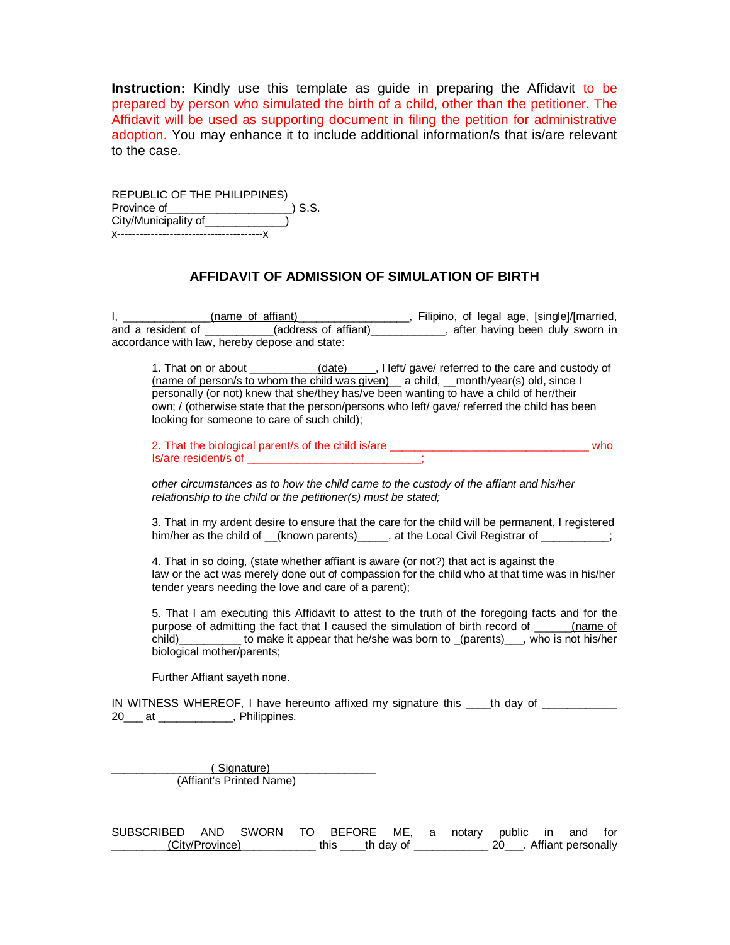**Instruction:** Kindly use this template as guide in preparing the Affidavit to be prepared by person who simulated the birth of a child, other than the petitioner. The Affidavit will be used as supporting document in filing the petition for administrative adoption. You may enhance it to include additional information/s that is/are relevant to the case.

REPUBLIC OF THE PHILIPPINES) Province of\_\_\_\_\_\_\_\_\_\_\_\_\_\_\_\_\_\_\_\_\_\_\_\_\_\_\_) S.S. City/Municipality of\_\_\_\_\_\_\_\_\_\_\_\_\_\_) x---------------------------------------x

## **AFFIDAVIT OF ADMISSION OF SIMULATION OF BIRTH**

I, \_\_\_\_\_\_\_\_\_\_\_\_\_\_(name of affiant) \_\_\_\_\_\_\_\_\_\_\_\_\_\_\_, Filipino, of legal age, [single]/[married, and a resident of \_\_\_\_\_\_\_\_\_\_\_(address of affiant)\_\_\_\_\_\_\_\_\_\_\_, after having been duly sworn in accordance with law, hereby depose and state:

1. That on or about \_\_\_\_\_\_\_\_\_\_\_\_(date) \_\_\_, I left/ gave/ referred to the care and custody of (name of person/s to whom the child was given) a child, month/year(s) old, since I personally (or not) knew that she/they has/ve been wanting to have a child of her/their own; / (otherwise state that the person/persons who left/ gave/ referred the child has been looking for someone to care of such child);

2. That the biological parent/s of the child is/are \_\_\_\_\_\_\_\_\_\_\_\_\_\_\_\_\_\_\_\_\_\_\_\_\_\_\_\_\_\_\_\_ who Is/are resident/s of \_\_\_\_\_\_\_\_\_\_\_\_\_\_\_\_\_\_\_\_\_\_\_\_\_\_\_;

*other circumstances as to how the child came to the custody of the affiant and his/her relationship to the child or the petitioner(s) must be stated;* 

3. That in my ardent desire to ensure that the care for the child will be permanent, I registered him/her as the child of \_\_(known parents) \_\_\_\_, at the Local Civil Registrar of \_\_\_\_\_\_\_\_;

4. That in so doing, (state whether affiant is aware (or not?) that act is against the law or the act was merely done out of compassion for the child who at that time was in his/her tender years needing the love and care of a parent);

5. That I am executing this Affidavit to attest to the truth of the foregoing facts and for the purpose of admitting the fact that I caused the simulation of birth record of \_\_\_\_\_\_(name of child) to make it appear that he/she was born to (parents), who is not his/her biological mother/parents;

Further Affiant sayeth none.

IN WITNESS WHEREOF, I have hereunto affixed my signature this \_\_\_\_th day of \_\_\_\_\_\_\_\_\_\_ 20<sup>ord</sup> at 20<sup>ord</sup>, Philippines.

> \_\_\_\_\_\_\_\_\_\_\_\_\_\_\_\_( Signature)\_\_\_\_\_\_\_\_\_\_\_\_\_\_\_\_\_ (Affiant's Printed Name)

SUBSCRIBED AND SWORN TO BEFORE ME, a notary public in and for \_\_\_\_\_\_\_\_<u>\_(City/Province)</u> \_\_\_\_\_\_\_\_\_ this \_\_\_\_th day of \_\_\_\_\_\_\_\_\_\_\_\_ 20\_\_\_. Affiant personally